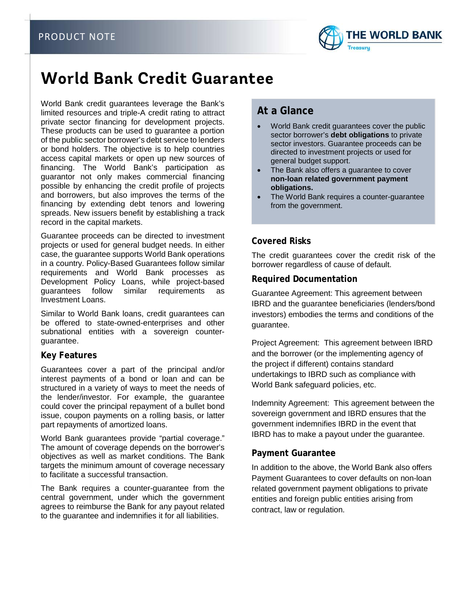

# **World Bank Credit Guarantee**

World Bank credit guarantees leverage the Bank's limited resources and triple-A credit rating to attract private sector financing for development projects. These products can be used to guarantee a portion of the public sector borrower's debt service to lenders or bond holders. The objective is to help countries access capital markets or open up new sources of financing. The World Bank's participation as guarantor not only makes commercial financing possible by enhancing the credit profile of projects and borrowers, but also improves the terms of the financing by extending debt tenors and lowering spreads. New issuers benefit by establishing a track record in the capital markets.

Guarantee proceeds can be directed to investment projects or used for general budget needs. In either case, the guarantee supports World Bank operations in a country. Policy-Based Guarantees follow similar requirements and World Bank processes as Development Policy Loans, while project-based guarantees follow similar requirements as Investment Loans.

Similar to World Bank loans, credit guarantees can be offered to state-owned-enterprises and other subnational entities with a sovereign counterguarantee.

#### **Key Features**

Guarantees cover a part of the principal and/or interest payments of a bond or loan and can be structured in a variety of ways to meet the needs of the lender/investor. For example, the guarantee could cover the principal repayment of a bullet bond issue, coupon payments on a rolling basis, or latter part repayments of amortized loans.

World Bank guarantees provide "partial coverage." The amount of coverage depends on the borrower's objectives as well as market conditions. The Bank targets the minimum amount of coverage necessary to facilitate a successful transaction.

The Bank requires a counter-guarantee from the central government, under which the government agrees to reimburse the Bank for any payout related to the guarantee and indemnifies it for all liabilities.

# **At a Glance**

- World Bank credit guarantees cover the public sector borrower's **debt obligations** to private sector investors. Guarantee proceeds can be directed to investment projects or used for general budget support.
- The Bank also offers a guarantee to cover **non-loan related government payment obligations.**
- The World Bank requires a counter-guarantee from the government.

### **Covered Risks**

The credit guarantees cover the credit risk of the borrower regardless of cause of default.

#### **Required Documentation**

Guarantee Agreement: This agreement between IBRD and the guarantee beneficiaries (lenders/bond investors) embodies the terms and conditions of the guarantee.

Project Agreement: This agreement between IBRD and the borrower (or the implementing agency of the project if different) contains standard undertakings to IBRD such as compliance with World Bank safeguard policies, etc.

Indemnity Agreement: This agreement between the sovereign government and IBRD ensures that the government indemnifies IBRD in the event that IBRD has to make a payout under the guarantee.

### **Payment Guarantee**

In addition to the above, the World Bank also offers Payment Guarantees to cover defaults on non-loan related government payment obligations to private entities and foreign public entities arising from contract, law or regulation.